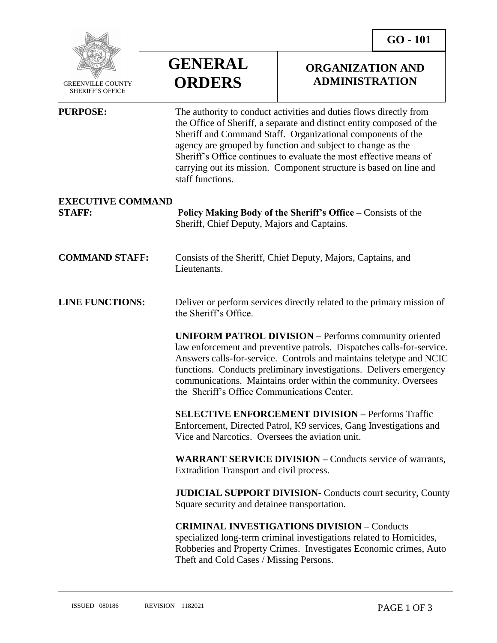

 GREENVILLE COUNTY SHERIFF'S OFFICE

 $\overline{a}$ 

## **GENERAL ORDERS**

**PURPOSE:** The authority to conduct activities and duties flows directly from

the Office of Sheriff, a separate and distinct entity composed of the

## **ORGANIZATION AND ADMINISTRATION**

|                                           | Sheriff and Command Staff. Organizational components of the<br>agency are grouped by function and subject to change as the<br>Sheriff's Office continues to evaluate the most effective means of<br>carrying out its mission. Component structure is based on line and<br>staff functions.                                                                                                          |
|-------------------------------------------|-----------------------------------------------------------------------------------------------------------------------------------------------------------------------------------------------------------------------------------------------------------------------------------------------------------------------------------------------------------------------------------------------------|
| <b>EXECUTIVE COMMAND</b><br><b>STAFF:</b> | Policy Making Body of the Sheriff's Office – Consists of the<br>Sheriff, Chief Deputy, Majors and Captains.                                                                                                                                                                                                                                                                                         |
| <b>COMMAND STAFF:</b>                     | Consists of the Sheriff, Chief Deputy, Majors, Captains, and<br>Lieutenants.                                                                                                                                                                                                                                                                                                                        |
| <b>LINE FUNCTIONS:</b>                    | Deliver or perform services directly related to the primary mission of<br>the Sheriff's Office.                                                                                                                                                                                                                                                                                                     |
|                                           | <b>UNIFORM PATROL DIVISION - Performs community oriented</b><br>law enforcement and preventive patrols. Dispatches calls-for-service.<br>Answers calls-for-service. Controls and maintains teletype and NCIC<br>functions. Conducts preliminary investigations. Delivers emergency<br>communications. Maintains order within the community. Oversees<br>the Sheriff's Office Communications Center. |
|                                           | <b>SELECTIVE ENFORCEMENT DIVISION - Performs Traffic</b><br>Enforcement, Directed Patrol, K9 services, Gang Investigations and<br>Vice and Narcotics. Oversees the aviation unit.                                                                                                                                                                                                                   |
|                                           | <b>WARRANT SERVICE DIVISION - Conducts service of warrants,</b><br>Extradition Transport and civil process.                                                                                                                                                                                                                                                                                         |
|                                           | <b>JUDICIAL SUPPORT DIVISION- Conducts court security, County</b><br>Square security and detainee transportation.                                                                                                                                                                                                                                                                                   |
|                                           | <b>CRIMINAL INVESTIGATIONS DIVISION - Conducts</b><br>specialized long-term criminal investigations related to Homicides,<br>Robberies and Property Crimes. Investigates Economic crimes, Auto<br>Theft and Cold Cases / Missing Persons.                                                                                                                                                           |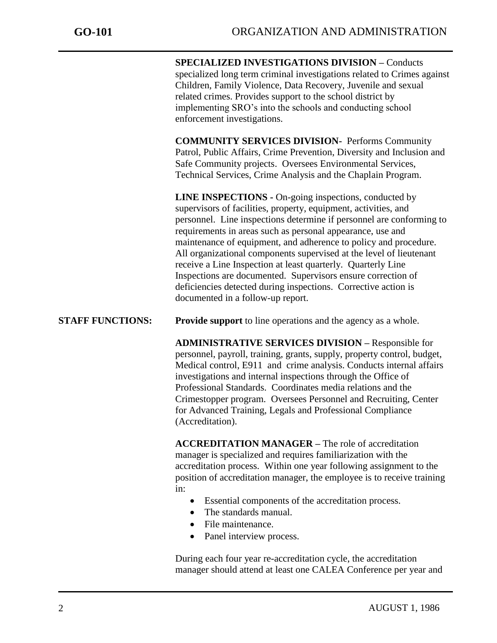j

**SPECIALIZED INVESTIGATIONS DIVISION –** Conducts specialized long term criminal investigations related to Crimes against Children, Family Violence, Data Recovery, Juvenile and sexual related crimes. Provides support to the school district by implementing SRO's into the schools and conducting school enforcement investigations.

**COMMUNITY SERVICES DIVISION-** Performs Community Patrol, Public Affairs, Crime Prevention, Diversity and Inclusion and Safe Community projects. Oversees Environmental Services, Technical Services, Crime Analysis and the Chaplain Program.

**LINE INSPECTIONS -** On-going inspections, conducted by supervisors of facilities, property, equipment, activities, and personnel. Line inspections determine if personnel are conforming to requirements in areas such as personal appearance, use and maintenance of equipment, and adherence to policy and procedure. All organizational components supervised at the level of lieutenant receive a Line Inspection at least quarterly. Quarterly Line Inspections are documented. Supervisors ensure correction of deficiencies detected during inspections. Corrective action is documented in a follow-up report.

**STAFF FUNCTIONS:** Provide support to line operations and the agency as a whole.

**ADMINISTRATIVE SERVICES DIVISION –** Responsible for personnel, payroll, training, grants, supply, property control, budget, Medical control, E911 and crime analysis. Conducts internal affairs investigations and internal inspections through the Office of Professional Standards. Coordinates media relations and the Crimestopper program. Oversees Personnel and Recruiting, Center for Advanced Training, Legals and Professional Compliance (Accreditation).

**ACCREDITATION MANAGER –** The role of accreditation manager is specialized and requires familiarization with the accreditation process. Within one year following assignment to the position of accreditation manager, the employee is to receive training in:

- Essential components of the accreditation process.
- The standards manual.
- File maintenance.
- Panel interview process.

During each four year re-accreditation cycle, the accreditation manager should attend at least one CALEA Conference per year and